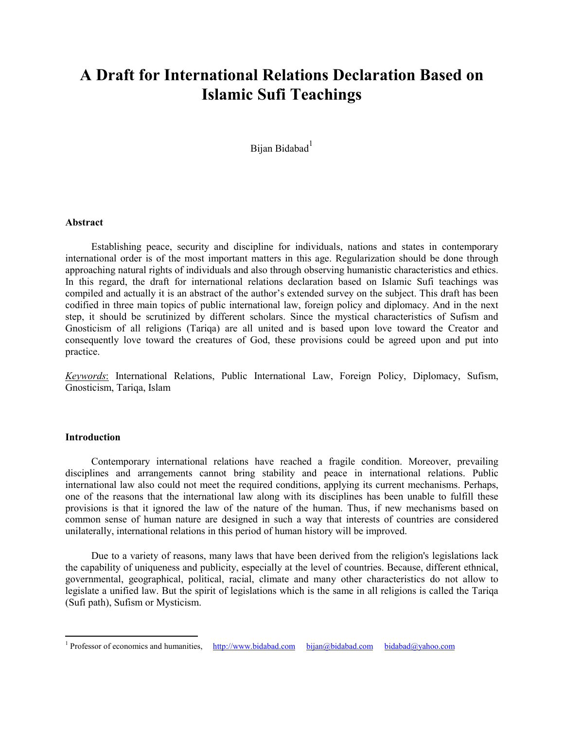# **A Draft for International Relations Declaration Based on Islamic Sufi Teachings**

Bijan Bidabad<sup>[1](#page-0-0)</sup>

#### **Abstract**

Establishing peace, security and discipline for individuals, nations and states in contemporary international order is of the most important matters in this age. Regularization should be done through approaching natural rights of individuals and also through observing humanistic characteristics and ethics. In this regard, the draft for international relations declaration based on Islamic Sufi teachings was compiled and actually it is an abstract of the author's extended survey on the subject. This draft has been codified in three main topics of public international law, foreign policy and diplomacy. And in the next step, it should be scrutinized by different scholars. Since the mystical characteristics of Sufism and Gnosticism of all religions (Tariqa) are all united and is based upon love toward the Creator and consequently love toward the creatures of God, these provisions could be agreed upon and put into practice.

*Keywords*: International Relations, Public International Law, Foreign Policy, Diplomacy, Sufism, Gnosticism, Tariqa, Islam

#### **Introduction**

 $\overline{a}$ 

Contemporary international relations have reached a fragile condition. Moreover, prevailing disciplines and arrangements cannot bring stability and peace in international relations. Public international law also could not meet the required conditions, applying its current mechanisms. Perhaps, one of the reasons that the international law along with its disciplines has been unable to fulfill these provisions is that it ignored the law of the nature of the human. Thus, if new mechanisms based on common sense of human nature are designed in such a way that interests of countries are considered unilaterally, international relations in this period of human history will be improved.

Due to a variety of reasons, many laws that have been derived from the religion's legislations lack the capability of uniqueness and publicity, especially at the level of countries. Because, different ethnical, governmental, geographical, political, racial, climate and many other characteristics do not allow to legislate a unified law. But the spirit of legislations which is the same in all religions is called the Tariqa (Sufi path), Sufism or Mysticism.

<span id="page-0-0"></span><sup>&</sup>lt;sup>1</sup> Professor of economics and humanities, [http://www.bidabad.com](http://www.bidabad.com/) [bijan@bidabad.com](mailto:bijan@bidabad.com)[bidabad@yahoo.com](mailto:bidabad@yahoo.com)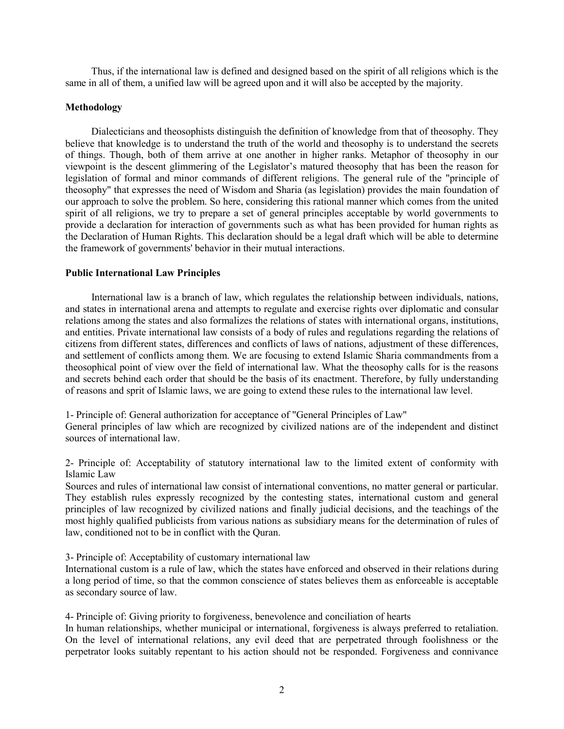Thus, if the international law is defined and designed based on the spirit of all religions which is the same in all of them, a unified law will be agreed upon and it will also be accepted by the majority.

#### **Methodology**

Dialecticians and theosophists distinguish the definition of knowledge from that of theosophy. They believe that knowledge is to understand the truth of the world and theosophy is to understand the secrets of things. Though, both of them arrive at one another in higher ranks. Metaphor of theosophy in our viewpoint is the descent glimmering of the Legislator's matured theosophy that has been the reason for legislation of formal and minor commands of different religions. The general rule of the "principle of theosophy" that expresses the need of Wisdom and Sharia (as legislation) provides the main foundation of our approach to solve the problem. So here, considering this rational manner which comes from the united spirit of all religions, we try to prepare a set of general principles acceptable by world governments to provide a declaration for interaction of governments such as what has been provided for human rights as the Declaration of Human Rights. This declaration should be a legal draft which will be able to determine the framework of governments' behavior in their mutual interactions.

#### **Public International Law Principles**

International law is a branch of law, which regulates the relationship between individuals, nations, and states in international arena and attempts to regulate and exercise rights over diplomatic and consular relations among the states and also formalizes the relations of states with international organs, institutions, and entities. Private international law consists of a body of rules and regulations regarding the relations of citizens from different states, differences and conflicts of laws of nations, adjustment of these differences, and settlement of conflicts among them. We are focusing to extend Islamic Sharia commandments from a theosophical point of view over the field of international law. What the theosophy calls for is the reasons and secrets behind each order that should be the basis of its enactment. Therefore, by fully understanding of reasons and sprit of Islamic laws, we are going to extend these rules to the international law level.

1- Principle of: General authorization for acceptance of "General Principles of Law"

General principles of law which are recognized by civilized nations are of the independent and distinct sources of international law.

2- Principle of: Acceptability of statutory international law to the limited extent of conformity with Islamic Law

Sources and rules of international law consist of international conventions, no matter general or particular. They establish rules expressly recognized by the contesting states, international custom and general principles of law recognized by civilized nations and finally judicial decisions, and the teachings of the most highly qualified publicists from various nations as subsidiary means for the determination of rules of law, conditioned not to be in conflict with the Quran.

3- Principle of: Acceptability of customary international law

International custom is a rule of law, which the states have enforced and observed in their relations during a long period of time, so that the common conscience of states believes them as enforceable is acceptable as secondary source of law.

4- Principle of: Giving priority to forgiveness, benevolence and conciliation of hearts

In human relationships, whether municipal or international, forgiveness is always preferred to retaliation. On the level of international relations, any evil deed that are perpetrated through foolishness or the perpetrator looks suitably repentant to his action should not be responded. Forgiveness and connivance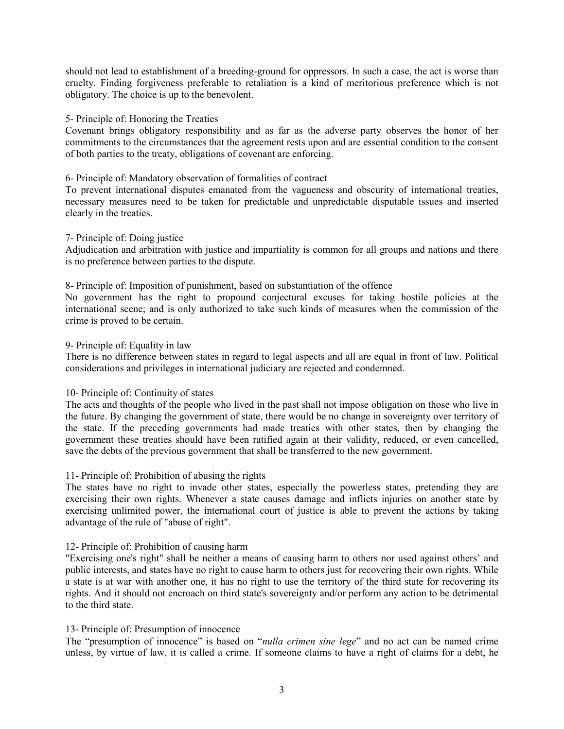should not lead to establishment of a breeding-ground for oppressors. In such a case, the act is worse than cruelty. Finding forgiveness preferable to retaliation is a kind of meritorious preference which is not obligatory. The choice is up to the benevolent.

#### 5- Principle of: Honoring the Treaties

Covenant brings obligatory responsibility and as far as the adverse party observes the honor of her commitments to the circumstances that the agreement rests upon and are essential condition to the consent of both parties to the treaty, obligations of covenant are enforcing.

#### 6- Principle of: Mandatory observation of formalities of contract

To prevent international disputes emanated from the vagueness and obscurity of international treaties, necessary measures need to be taken for predictable and unpredictable disputable issues and inserted clearly in the treaties.

## 7- Principle of: Doing justice

Adjudication and arbitration with justice and impartiality is common for all groups and nations and there is no preference between parties to the dispute.

#### 8- Principle of: Imposition of punishment, based on substantiation of the offence

No government has the right to propound conjectural excuses for taking hostile policies at the international scene; and is only authorized to take such kinds of measures when the commission of the crime is proved to be certain.

#### 9- Principle of: Equality in law

There is no difference between states in regard to legal aspects and all are equal in front of law. Political considerations and privileges in international judiciary are rejected and condemned.

## 10- Principle of: Continuity of states

The acts and thoughts of the people who lived in the past shall not impose obligation on those who live in the future. By changing the government of state, there would be no change in sovereignty over territory of the state. If the preceding governments had made treaties with other states, then by changing the government these treaties should have been ratified again at their validity, reduced, or even cancelled, save the debts of the previous government that shall be transferred to the new government.

## 11- Principle of: Prohibition of abusing the rights

The states have no right to invade other states, especially the powerless states, pretending they are exercising their own rights. Whenever a state causes damage and inflicts injuries on another state by exercising unlimited power, the international court of justice is able to prevent the actions by taking advantage of the rule of "abuse of right".

## 12- Principle of: Prohibition of causing harm

"Exercising one's right" shall be neither a means of causing harm to others nor used against others' and public interests, and states have no right to cause harm to others just for recovering their own rights. While a state is at war with another one, it has no right to use the territory of the third state for recovering its rights. And it should not encroach on third state's sovereignty and/or perform any action to be detrimental to the third state.

## 13- Principle of: Presumption of innocence

The "presumption of innocence" is based on "*nulla crimen sine lege*" and no act can be named crime unless, by virtue of law, it is called a crime. If someone claims to have a right of claims for a debt, he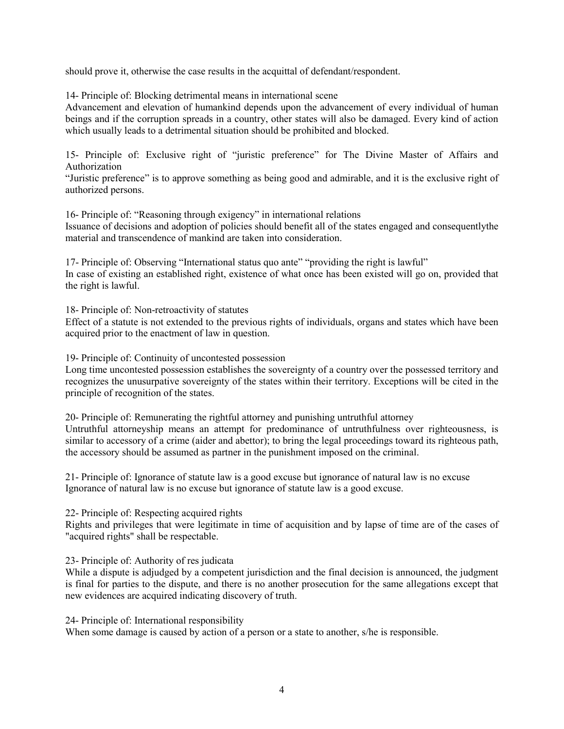should prove it, otherwise the case results in the acquittal of defendant/respondent.

14- Principle of: Blocking detrimental means in international scene

Advancement and elevation of humankind depends upon the advancement of every individual of human beings and if the corruption spreads in a country, other states will also be damaged. Every kind of action which usually leads to a detrimental situation should be prohibited and blocked.

15- Principle of: Exclusive right of "juristic preference" for The Divine Master of Affairs and Authorization

"Juristic preference" is to approve something as being good and admirable, and it is the exclusive right of authorized persons.

16- Principle of: "Reasoning through exigency" in international relations Issuance of decisions and adoption of policies should benefit all of the states engaged and consequentlythe material and transcendence of mankind are taken into consideration.

17- Principle of: Observing "International status quo ante" "providing the right is lawful" In case of existing an established right, existence of what once has been existed will go on, provided that the right is lawful.

18- Principle of: Non-retroactivity of statutes

Effect of a statute is not extended to the previous rights of individuals, organs and states which have been acquired prior to the enactment of law in question.

19- Principle of: Continuity of uncontested possession

Long time uncontested possession establishes the sovereignty of a country over the possessed territory and recognizes the unusurpative sovereignty of the states within their territory. Exceptions will be cited in the principle of recognition of the states.

20- Principle of: Remunerating the rightful attorney and punishing untruthful attorney Untruthful attorneyship means an attempt for predominance of untruthfulness over righteousness, is similar to accessory of a crime (aider and abettor); to bring the legal proceedings toward its righteous path, the accessory should be assumed as partner in the punishment imposed on the criminal.

21- Principle of: Ignorance of statute law is a good excuse but ignorance of natural law is no excuse Ignorance of natural law is no excuse but ignorance of statute law is a good excuse.

22- Principle of: Respecting acquired rights

Rights and privileges that were legitimate in time of acquisition and by lapse of time are of the cases of "acquired rights" shall be respectable.

23- Principle of: Authority of res judicata

While a dispute is adjudged by a competent jurisdiction and the final decision is announced, the judgment is final for parties to the dispute, and there is no another prosecution for the same allegations except that new evidences are acquired indicating discovery of truth.

24- Principle of: International responsibility When some damage is caused by action of a person or a state to another, s/he is responsible.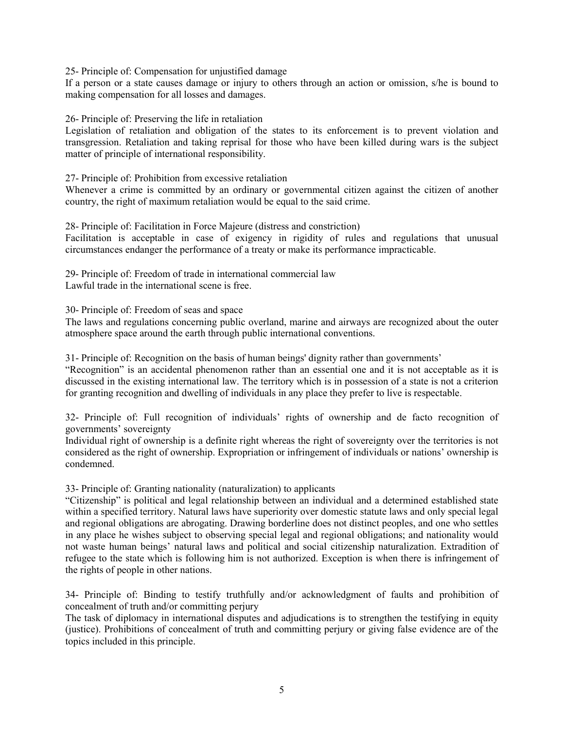25- Principle of: Compensation for unjustified damage

If a person or a state causes damage or injury to others through an action or omission, s/he is bound to making compensation for all losses and damages.

26- Principle of: Preserving the life in retaliation

Legislation of retaliation and obligation of the states to its enforcement is to prevent violation and transgression. Retaliation and taking reprisal for those who have been killed during wars is the subject matter of principle of international responsibility.

27- Principle of: Prohibition from excessive retaliation

Whenever a crime is committed by an ordinary or governmental citizen against the citizen of another country, the right of maximum retaliation would be equal to the said crime.

28- Principle of: Facilitation in Force Majeure (distress and constriction)

Facilitation is acceptable in case of exigency in rigidity of rules and regulations that unusual circumstances endanger the performance of a treaty or make its performance impracticable.

29- Principle of: Freedom of trade in international commercial law Lawful trade in the international scene is free.

30- Principle of: Freedom of seas and space

The laws and regulations concerning public overland, marine and airways are recognized about the outer atmosphere space around the earth through public international conventions.

31- Principle of: Recognition on the basis of human beings' dignity rather than governments'

"Recognition" is an accidental phenomenon rather than an essential one and it is not acceptable as it is discussed in the existing international law. The territory which is in possession of a state is not a criterion for granting recognition and dwelling of individuals in any place they prefer to live is respectable.

32- Principle of: Full recognition of individuals' rights of ownership and de facto recognition of governments' sovereignty

Individual right of ownership is a definite right whereas the right of sovereignty over the territories is not considered as the right of ownership. Expropriation or infringement of individuals or nations' ownership is condemned.

33- Principle of: Granting nationality (naturalization) to applicants

"Citizenship" is political and legal relationship between an individual and a determined established state within a specified territory. Natural laws have superiority over domestic statute laws and only special legal and regional obligations are abrogating. Drawing borderline does not distinct peoples, and one who settles in any place he wishes subject to observing special legal and regional obligations; and nationality would not waste human beings' natural laws and political and social citizenship naturalization. Extradition of refugee to the state which is following him is not authorized. Exception is when there is infringement of the rights of people in other nations.

34- Principle of: Binding to testify truthfully and/or acknowledgment of faults and prohibition of concealment of truth and/or committing perjury

The task of diplomacy in international disputes and adjudications is to strengthen the testifying in equity (justice). Prohibitions of concealment of truth and committing perjury or giving false evidence are of the topics included in this principle.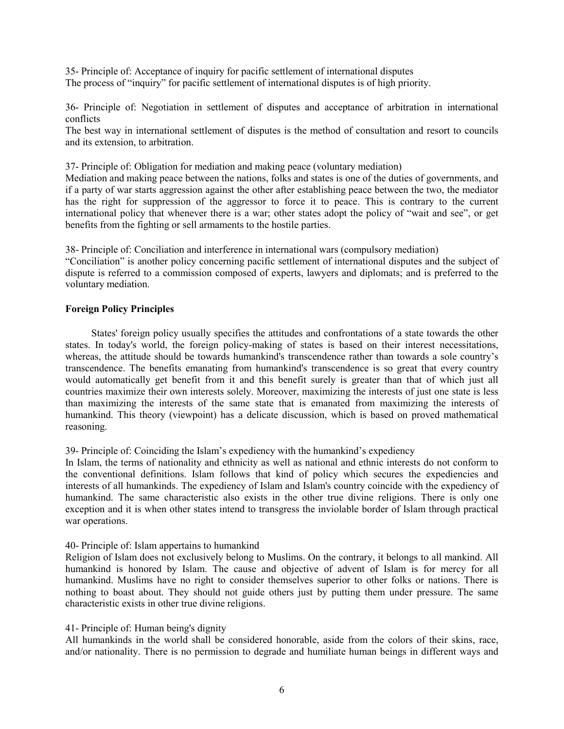35- Principle of: Acceptance of inquiry for pacific settlement of international disputes The process of "inquiry" for pacific settlement of international disputes is of high priority.

36- Principle of: Negotiation in settlement of disputes and acceptance of arbitration in international conflicts

The best way in international settlement of disputes is the method of consultation and resort to councils and its extension, to arbitration.

37- Principle of: Obligation for mediation and making peace (voluntary mediation)

Mediation and making peace between the nations, folks and states is one of the duties of governments, and if a party of war starts aggression against the other after establishing peace between the two, the mediator has the right for suppression of the aggressor to force it to peace. This is contrary to the current international policy that whenever there is a war; other states adopt the policy of "wait and see", or get benefits from the fighting or sell armaments to the hostile parties.

38- Principle of: Conciliation and interference in international wars (compulsory mediation)

"Conciliation" is another policy concerning pacific settlement of international disputes and the subject of dispute is referred to a commission composed of experts, lawyers and diplomats; and is preferred to the voluntary mediation.

#### **Foreign Policy Principles**

States' foreign policy usually specifies the attitudes and confrontations of a state towards the other states. In today's world, the foreign policy-making of states is based on their interest necessitations, whereas, the attitude should be towards humankind's transcendence rather than towards a sole country's transcendence. The benefits emanating from humankind's transcendence is so great that every country would automatically get benefit from it and this benefit surely is greater than that of which just all countries maximize their own interests solely. Moreover, maximizing the interests of just one state is less than maximizing the interests of the same state that is emanated from maximizing the interests of humankind. This theory (viewpoint) has a delicate discussion, which is based on proved mathematical reasoning.

## 39- Principle of: Coinciding the Islam's expediency with the humankind's expediency

In Islam, the terms of nationality and ethnicity as well as national and ethnic interests do not conform to the conventional definitions. Islam follows that kind of policy which secures the expediencies and interests of all humankinds. The expediency of Islam and Islam's country coincide with the expediency of humankind. The same characteristic also exists in the other true divine religions. There is only one exception and it is when other states intend to transgress the inviolable border of Islam through practical war operations.

#### 40- Principle of: Islam appertains to humankind

Religion of Islam does not exclusively belong to Muslims. On the contrary, it belongs to all mankind. All humankind is honored by Islam. The cause and objective of advent of Islam is for mercy for all humankind. Muslims have no right to consider themselves superior to other folks or nations. There is nothing to boast about. They should not guide others just by putting them under pressure. The same characteristic exists in other true divine religions.

## 41- Principle of: Human being's dignity

All humankinds in the world shall be considered honorable, aside from the colors of their skins, race, and/or nationality. There is no permission to degrade and humiliate human beings in different ways and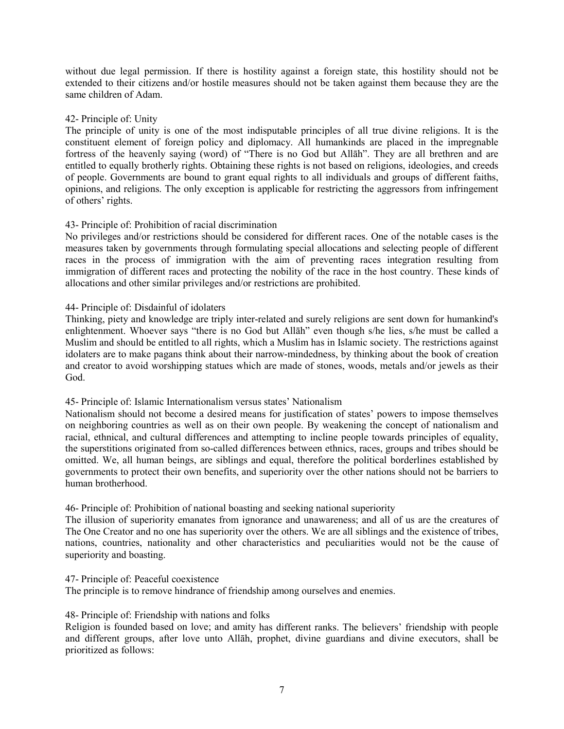without due legal permission. If there is hostility against a foreign state, this hostility should not be extended to their citizens and/or hostile measures should not be taken against them because they are the same children of Adam.

#### 42- Principle of: Unity

The principle of unity is one of the most indisputable principles of all true divine religions. It is the constituent element of foreign policy and diplomacy. All humankinds are placed in the impregnable fortress of the heavenly saying (word) of "There is no God but Allāh". They are all brethren and are entitled to equally brotherly rights. Obtaining these rights is not based on religions, ideologies, and creeds of people. Governments are bound to grant equal rights to all individuals and groups of different faiths, opinions, and religions. The only exception is applicable for restricting the aggressors from infringement of others' rights.

## 43- Principle of: Prohibition of racial discrimination

No privileges and/or restrictions should be considered for different races. One of the notable cases is the measures taken by governments through formulating special allocations and selecting people of different races in the process of immigration with the aim of preventing races integration resulting from immigration of different races and protecting the nobility of the race in the host country. These kinds of allocations and other similar privileges and/or restrictions are prohibited.

## 44- Principle of: Disdainful of idolaters

Thinking, piety and knowledge are triply inter-related and surely religions are sent down for humankind's enlightenment. Whoever says "there is no God but Allāh" even though s/he lies, s/he must be called a Muslim and should be entitled to all rights, which a Muslim has in Islamic society. The restrictions against idolaters are to make pagans think about their narrow-mindedness, by thinking about the book of creation and creator to avoid worshipping statues which are made of stones, woods, metals and/or jewels as their God.

## 45- Principle of: Islamic Internationalism versus states' Nationalism

Nationalism should not become a desired means for justification of states' powers to impose themselves on neighboring countries as well as on their own people. By weakening the concept of nationalism and racial, ethnical, and cultural differences and attempting to incline people towards principles of equality, the superstitions originated from so-called differences between ethnics, races, groups and tribes should be omitted. We, all human beings, are siblings and equal, therefore the political borderlines established by governments to protect their own benefits, and superiority over the other nations should not be barriers to human brotherhood.

## 46- Principle of: Prohibition of national boasting and seeking national superiority

The illusion of superiority emanates from ignorance and unawareness; and all of us are the creatures of The One Creator and no one has superiority over the others. We are all siblings and the existence of tribes, nations, countries, nationality and other characteristics and peculiarities would not be the cause of superiority and boasting.

#### 47- Principle of: Peaceful coexistence

The principle is to remove hindrance of friendship among ourselves and enemies.

## 48- Principle of: Friendship with nations and folks

Religion is founded based on love; and amity has different ranks. The believers' friendship with people and different groups, after love unto Allāh, prophet, divine guardians and divine executors, shall be prioritized as follows: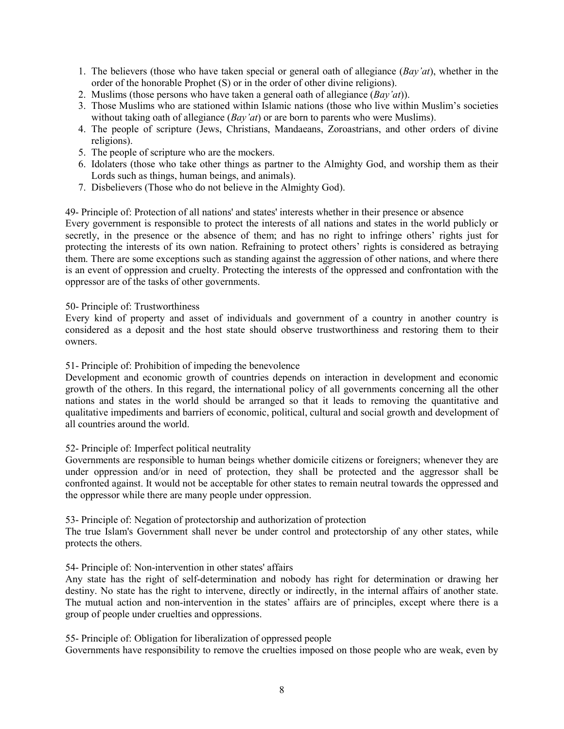- 1. The believers (those who have taken special or general oath of allegiance (*Bay'at*), whether in the order of the honorable Prophet (S) or in the order of other divine religions).
- 2. Muslims (those persons who have taken a general oath of allegiance (*Bay'at*)).
- 3. Those Muslims who are stationed within Islamic nations (those who live within Muslim's societies without taking oath of allegiance (*Bay'at*) or are born to parents who were Muslims).
- 4. The people of scripture (Jews, Christians, Mandaeans, Zoroastrians, and other orders of divine religions).
- 5. The people of scripture who are the mockers.
- 6. Idolaters (those who take other things as partner to the Almighty God, and worship them as their Lords such as things, human beings, and animals).
- 7. Disbelievers (Those who do not believe in the Almighty God).

49- Principle of: Protection of all nations' and states' interests whether in their presence or absence Every government is responsible to protect the interests of all nations and states in the world publicly or secretly, in the presence or the absence of them; and has no right to infringe others' rights just for protecting the interests of its own nation. Refraining to protect others' rights is considered as betraying them. There are some exceptions such as standing against the aggression of other nations, and where there is an event of oppression and cruelty. Protecting the interests of the oppressed and confrontation with the oppressor are of the tasks of other governments.

## 50- Principle of: Trustworthiness

Every kind of property and asset of individuals and government of a country in another country is considered as a deposit and the host state should observe trustworthiness and restoring them to their owners.

## 51- Principle of: Prohibition of impeding the benevolence

Development and economic growth of countries depends on interaction in development and economic growth of the others. In this regard, the international policy of all governments concerning all the other nations and states in the world should be arranged so that it leads to removing the quantitative and qualitative impediments and barriers of economic, political, cultural and social growth and development of all countries around the world.

## 52- Principle of: Imperfect political neutrality

Governments are responsible to human beings whether domicile citizens or foreigners; whenever they are under oppression and/or in need of protection, they shall be protected and the aggressor shall be confronted against. It would not be acceptable for other states to remain neutral towards the oppressed and the oppressor while there are many people under oppression.

53- Principle of: Negation of protectorship and authorization of protection

The true Islam's Government shall never be under control and protectorship of any other states, while protects the others.

## 54- Principle of: Non-intervention in other states' affairs

Any state has the right of self-determination and nobody has right for determination or drawing her destiny. No state has the right to intervene, directly or indirectly, in the internal affairs of another state. The mutual action and non-intervention in the states' affairs are of principles, except where there is a group of people under cruelties and oppressions.

55- Principle of: Obligation for liberalization of oppressed people

Governments have responsibility to remove the cruelties imposed on those people who are weak, even by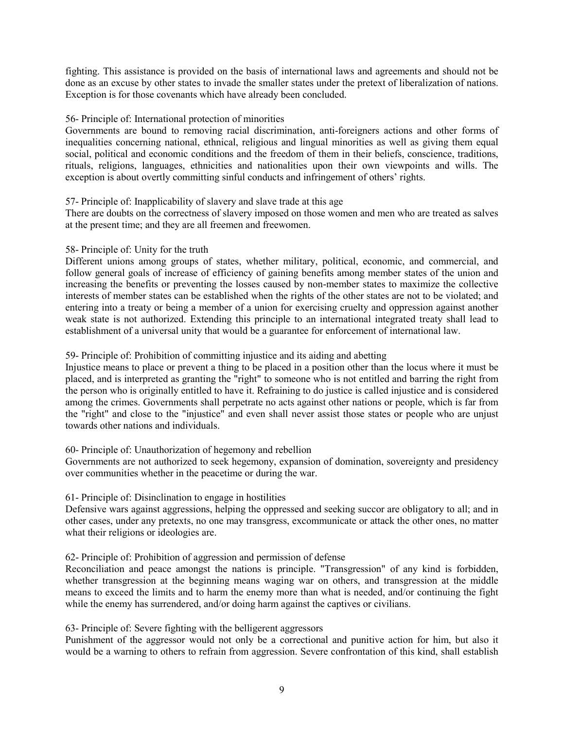fighting. This assistance is provided on the basis of international laws and agreements and should not be done as an excuse by other states to invade the smaller states under the pretext of liberalization of nations. Exception is for those covenants which have already been concluded.

#### 56- Principle of: International protection of minorities

Governments are bound to removing racial discrimination, anti-foreigners actions and other forms of inequalities concerning national, ethnical, religious and lingual minorities as well as giving them equal social, political and economic conditions and the freedom of them in their beliefs, conscience, traditions, rituals, religions, languages, ethnicities and nationalities upon their own viewpoints and wills. The exception is about overtly committing sinful conducts and infringement of others' rights.

#### 57- Principle of: Inapplicability of slavery and slave trade at this age

There are doubts on the correctness of slavery imposed on those women and men who are treated as salves at the present time; and they are all freemen and freewomen.

## 58- Principle of: Unity for the truth

Different unions among groups of states, whether military, political, economic, and commercial, and follow general goals of increase of efficiency of gaining benefits among member states of the union and increasing the benefits or preventing the losses caused by non-member states to maximize the collective interests of member states can be established when the rights of the other states are not to be violated; and entering into a treaty or being a member of a union for exercising cruelty and oppression against another weak state is not authorized. Extending this principle to an international integrated treaty shall lead to establishment of a universal unity that would be a guarantee for enforcement of international law.

#### 59- Principle of: Prohibition of committing injustice and its aiding and abetting

Injustice means to place or prevent a thing to be placed in a position other than the locus where it must be placed, and is interpreted as granting the "right" to someone who is not entitled and barring the right from the person who is originally entitled to have it. Refraining to do justice is called injustice and is considered among the crimes. Governments shall perpetrate no acts against other nations or people, which is far from the "right" and close to the "injustice" and even shall never assist those states or people who are unjust towards other nations and individuals.

#### 60- Principle of: Unauthorization of hegemony and rebellion

Governments are not authorized to seek hegemony, expansion of domination, sovereignty and presidency over communities whether in the peacetime or during the war.

#### 61- Principle of: Disinclination to engage in hostilities

Defensive wars against aggressions, helping the oppressed and seeking succor are obligatory to all; and in other cases, under any pretexts, no one may transgress, excommunicate or attack the other ones, no matter what their religions or ideologies are.

## 62- Principle of: Prohibition of aggression and permission of defense

Reconciliation and peace amongst the nations is principle. "Transgression" of any kind is forbidden, whether transgression at the beginning means waging war on others, and transgression at the middle means to exceed the limits and to harm the enemy more than what is needed, and/or continuing the fight while the enemy has surrendered, and/or doing harm against the captives or civilians.

## 63- Principle of: Severe fighting with the belligerent aggressors

Punishment of the aggressor would not only be a correctional and punitive action for him, but also it would be a warning to others to refrain from aggression. Severe confrontation of this kind, shall establish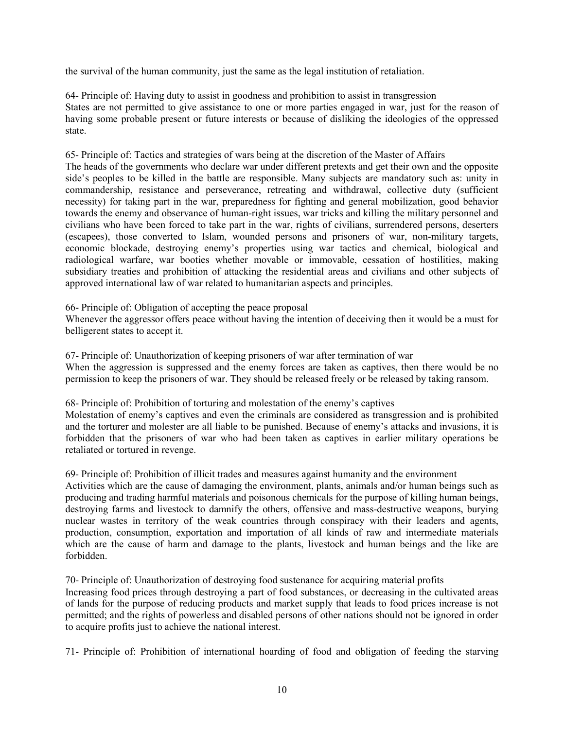the survival of the human community, just the same as the legal institution of retaliation.

64- Principle of: Having duty to assist in goodness and prohibition to assist in transgression States are not permitted to give assistance to one or more parties engaged in war, just for the reason of having some probable present or future interests or because of disliking the ideologies of the oppressed state.

65- Principle of: Tactics and strategies of wars being at the discretion of the Master of Affairs

The heads of the governments who declare war under different pretexts and get their own and the opposite side's peoples to be killed in the battle are responsible. Many subjects are mandatory such as: unity in commandership, resistance and perseverance, retreating and withdrawal, collective duty (sufficient necessity) for taking part in the war, preparedness for fighting and general mobilization, good behavior towards the enemy and observance of human-right issues, war tricks and killing the military personnel and civilians who have been forced to take part in the war, rights of civilians, surrendered persons, deserters (escapees), those converted to Islam, wounded persons and prisoners of war, non-military targets, economic blockade, destroying enemy's properties using war tactics and chemical, biological and radiological warfare, war booties whether movable or immovable, cessation of hostilities, making subsidiary treaties and prohibition of attacking the residential areas and civilians and other subjects of approved international law of war related to humanitarian aspects and principles.

66- Principle of: Obligation of accepting the peace proposal

Whenever the aggressor offers peace without having the intention of deceiving then it would be a must for belligerent states to accept it.

67- Principle of: Unauthorization of keeping prisoners of war after termination of war When the aggression is suppressed and the enemy forces are taken as captives, then there would be no permission to keep the prisoners of war. They should be released freely or be released by taking ransom.

68- Principle of: Prohibition of torturing and molestation of the enemy's captives

Molestation of enemy's captives and even the criminals are considered as transgression and is prohibited and the torturer and molester are all liable to be punished. Because of enemy's attacks and invasions, it is forbidden that the prisoners of war who had been taken as captives in earlier military operations be retaliated or tortured in revenge.

69- Principle of: Prohibition of illicit trades and measures against humanity and the environment Activities which are the cause of damaging the environment, plants, animals and/or human beings such as producing and trading harmful materials and poisonous chemicals for the purpose of killing human beings, destroying farms and livestock to damnify the others, offensive and mass-destructive weapons, burying nuclear wastes in territory of the weak countries through conspiracy with their leaders and agents, production, consumption, exportation and importation of all kinds of raw and intermediate materials which are the cause of harm and damage to the plants, livestock and human beings and the like are forbidden.

70- Principle of: Unauthorization of destroying food sustenance for acquiring material profits

Increasing food prices through destroying a part of food substances, or decreasing in the cultivated areas of lands for the purpose of reducing products and market supply that leads to food prices increase is not permitted; and the rights of powerless and disabled persons of other nations should not be ignored in order to acquire profits just to achieve the national interest.

71- Principle of: Prohibition of international hoarding of food and obligation of feeding the starving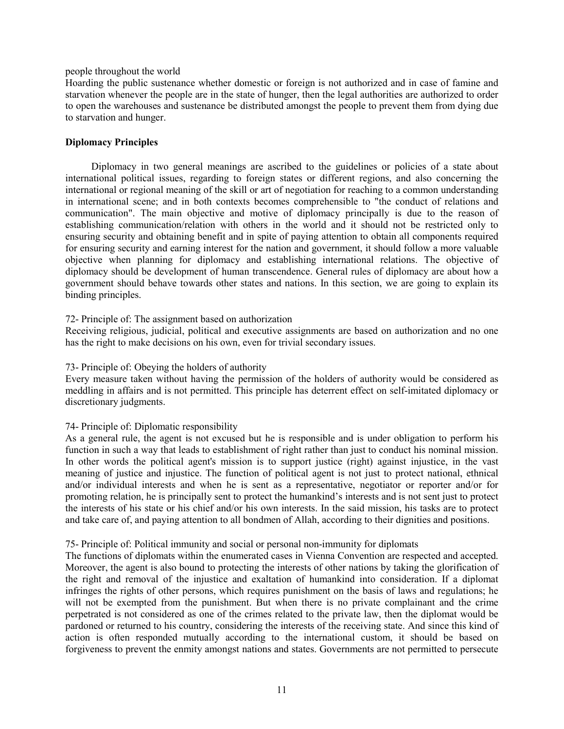#### people throughout the world

Hoarding the public sustenance whether domestic or foreign is not authorized and in case of famine and starvation whenever the people are in the state of hunger, then the legal authorities are authorized to order to open the warehouses and sustenance be distributed amongst the people to prevent them from dying due to starvation and hunger.

#### **Diplomacy Principles**

Diplomacy in two general meanings are ascribed to the guidelines or policies of a state about international political issues, regarding to foreign states or different regions, and also concerning the international or regional meaning of the skill or art of negotiation for reaching to a common understanding in international scene; and in both contexts becomes comprehensible to "the conduct of relations and communication". The main objective and motive of diplomacy principally is due to the reason of establishing communication/relation with others in the world and it should not be restricted only to ensuring security and obtaining benefit and in spite of paying attention to obtain all components required for ensuring security and earning interest for the nation and government, it should follow a more valuable objective when planning for diplomacy and establishing international relations. The objective of diplomacy should be development of human transcendence. General rules of diplomacy are about how a government should behave towards other states and nations. In this section, we are going to explain its binding principles.

#### 72- Principle of: The assignment based on authorization

Receiving religious, judicial, political and executive assignments are based on authorization and no one has the right to make decisions on his own, even for trivial secondary issues.

#### 73- Principle of: Obeying the holders of authority

Every measure taken without having the permission of the holders of authority would be considered as meddling in affairs and is not permitted. This principle has deterrent effect on self-imitated diplomacy or discretionary judgments.

## 74- Principle of: Diplomatic responsibility

As a general rule, the agent is not excused but he is responsible and is under obligation to perform his function in such a way that leads to establishment of right rather than just to conduct his nominal mission. In other words the political agent's mission is to support justice (right) against injustice, in the vast meaning of justice and injustice. The function of political agent is not just to protect national, ethnical and/or individual interests and when he is sent as a representative, negotiator or reporter and/or for promoting relation, he is principally sent to protect the humankind's interests and is not sent just to protect the interests of his state or his chief and/or his own interests. In the said mission, his tasks are to protect and take care of, and paying attention to all bondmen of Allah, according to their dignities and positions.

#### 75- Principle of: Political immunity and social or personal non-immunity for diplomats

The functions of diplomats within the enumerated cases in Vienna Convention are respected and accepted. Moreover, the agent is also bound to protecting the interests of other nations by taking the glorification of the right and removal of the injustice and exaltation of humankind into consideration. If a diplomat infringes the rights of other persons, which requires punishment on the basis of laws and regulations; he will not be exempted from the punishment. But when there is no private complainant and the crime perpetrated is not considered as one of the crimes related to the private law, then the diplomat would be pardoned or returned to his country, considering the interests of the receiving state. And since this kind of action is often responded mutually according to the international custom, it should be based on forgiveness to prevent the enmity amongst nations and states. Governments are not permitted to persecute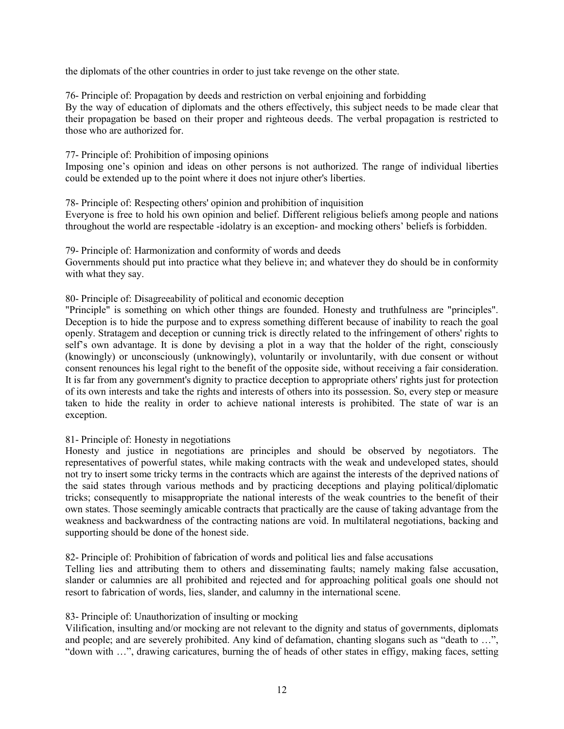the diplomats of the other countries in order to just take revenge on the other state.

76- Principle of: Propagation by deeds and restriction on verbal enjoining and forbidding By the way of education of diplomats and the others effectively, this subject needs to be made clear that their propagation be based on their proper and righteous deeds. The verbal propagation is restricted to those who are authorized for.

77- Principle of: Prohibition of imposing opinions

Imposing one's opinion and ideas on other persons is not authorized. The range of individual liberties could be extended up to the point where it does not injure other's liberties.

78- Principle of: Respecting others' opinion and prohibition of inquisition Everyone is free to hold his own opinion and belief. Different religious beliefs among people and nations throughout the world are respectable -idolatry is an exception- and mocking others' beliefs is forbidden.

79- Principle of: Harmonization and conformity of words and deeds Governments should put into practice what they believe in; and whatever they do should be in conformity with what they say.

80- Principle of: Disagreeability of political and economic deception

"Principle" is something on which other things are founded. Honesty and truthfulness are "principles". Deception is to hide the purpose and to express something different because of inability to reach the goal openly. Stratagem and deception or cunning trick is directly related to the infringement of others' rights to self's own advantage. It is done by devising a plot in a way that the holder of the right, consciously (knowingly) or unconsciously (unknowingly), voluntarily or involuntarily, with due consent or without consent renounces his legal right to the benefit of the opposite side, without receiving a fair consideration. It is far from any government's dignity to practice deception to appropriate others' rights just for protection of its own interests and take the rights and interests of others into its possession. So, every step or measure taken to hide the reality in order to achieve national interests is prohibited. The state of war is an exception.

81- Principle of: Honesty in negotiations

Honesty and justice in negotiations are principles and should be observed by negotiators. The representatives of powerful states, while making contracts with the weak and undeveloped states, should not try to insert some tricky terms in the contracts which are against the interests of the deprived nations of the said states through various methods and by practicing deceptions and playing political/diplomatic tricks; consequently to misappropriate the national interests of the weak countries to the benefit of their own states. Those seemingly amicable contracts that practically are the cause of taking advantage from the weakness and backwardness of the contracting nations are void. In multilateral negotiations, backing and supporting should be done of the honest side.

82- Principle of: Prohibition of fabrication of words and political lies and false accusations

Telling lies and attributing them to others and disseminating faults; namely making false accusation, slander or calumnies are all prohibited and rejected and for approaching political goals one should not resort to fabrication of words, lies, slander, and calumny in the international scene.

83- Principle of: Unauthorization of insulting or mocking

Vilification, insulting and/or mocking are not relevant to the dignity and status of governments, diplomats and people; and are severely prohibited. Any kind of defamation, chanting slogans such as "death to …", "down with …", drawing caricatures, burning the of heads of other states in effigy, making faces, setting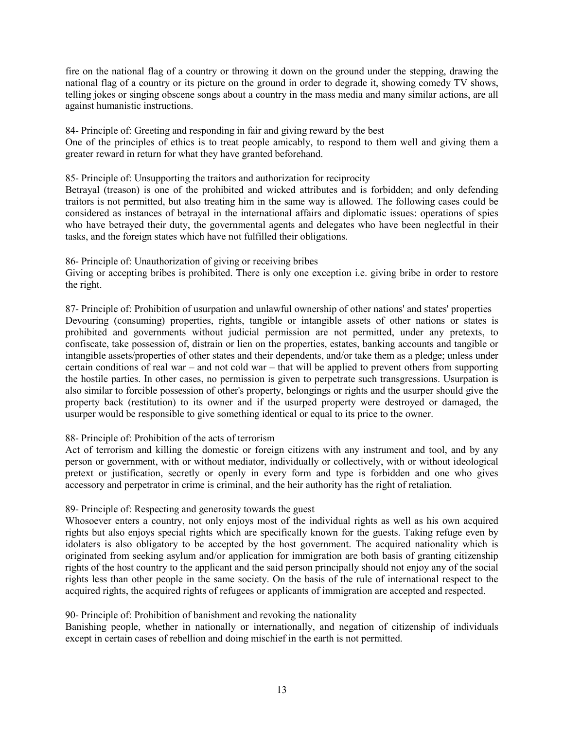fire on the national flag of a country or throwing it down on the ground under the stepping, drawing the national flag of a country or its picture on the ground in order to degrade it, showing comedy TV shows, telling jokes or singing obscene songs about a country in the mass media and many similar actions, are all against humanistic instructions.

84- Principle of: Greeting and responding in fair and giving reward by the best One of the principles of ethics is to treat people amicably, to respond to them well and giving them a greater reward in return for what they have granted beforehand.

85- Principle of: Unsupporting the traitors and authorization for reciprocity

Betrayal (treason) is one of the prohibited and wicked attributes and is forbidden; and only defending traitors is not permitted, but also treating him in the same way is allowed. The following cases could be considered as instances of betrayal in the international affairs and diplomatic issues: operations of spies who have betrayed their duty, the governmental agents and delegates who have been neglectful in their tasks, and the foreign states which have not fulfilled their obligations.

86- Principle of: Unauthorization of giving or receiving bribes

Giving or accepting bribes is prohibited. There is only one exception i.e. giving bribe in order to restore the right.

87- Principle of: Prohibition of usurpation and unlawful ownership of other nations' and states' properties Devouring (consuming) properties, rights, tangible or intangible assets of other nations or states is prohibited and governments without judicial permission are not permitted, under any pretexts, to confiscate, take possession of, distrain or lien on the properties, estates, banking accounts and tangible or intangible assets/properties of other states and their dependents, and/or take them as a pledge; unless under certain conditions of real war – and not cold war – that will be applied to prevent others from supporting the hostile parties. In other cases, no permission is given to perpetrate such transgressions. Usurpation is also similar to forcible possession of other's property, belongings or rights and the usurper should give the property back (restitution) to its owner and if the usurped property were destroyed or damaged, the usurper would be responsible to give something identical or equal to its price to the owner.

# 88- Principle of: Prohibition of the acts of terrorism

Act of terrorism and killing the domestic or foreign citizens with any instrument and tool, and by any person or government, with or without mediator, individually or collectively, with or without ideological pretext or justification, secretly or openly in every form and type is forbidden and one who gives accessory and perpetrator in crime is criminal, and the heir authority has the right of retaliation.

# 89- Principle of: Respecting and generosity towards the guest

Whosoever enters a country, not only enjoys most of the individual rights as well as his own acquired rights but also enjoys special rights which are specifically known for the guests. Taking refuge even by idolaters is also obligatory to be accepted by the host government. The acquired nationality which is originated from seeking asylum and/or application for immigration are both basis of granting citizenship rights of the host country to the applicant and the said person principally should not enjoy any of the social rights less than other people in the same society. On the basis of the rule of international respect to the acquired rights, the acquired rights of refugees or applicants of immigration are accepted and respected.

90- Principle of: Prohibition of banishment and revoking the nationality

Banishing people, whether in nationally or internationally, and negation of citizenship of individuals except in certain cases of rebellion and doing mischief in the earth is not permitted.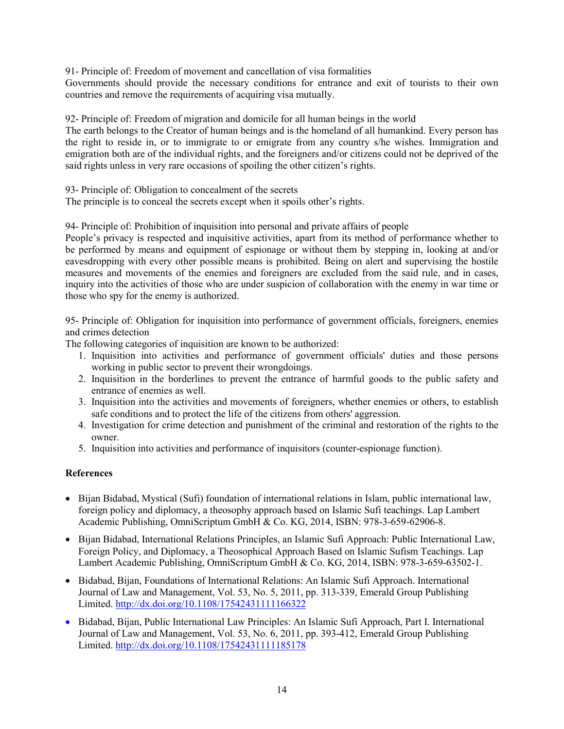91- Principle of: Freedom of movement and cancellation of visa formalities

Governments should provide the necessary conditions for entrance and exit of tourists to their own countries and remove the requirements of acquiring visa mutually.

92- Principle of: Freedom of migration and domicile for all human beings in the world

The earth belongs to the Creator of human beings and is the homeland of all humankind. Every person has the right to reside in, or to immigrate to or emigrate from any country s/he wishes. Immigration and emigration both are of the individual rights, and the foreigners and/or citizens could not be deprived of the said rights unless in very rare occasions of spoiling the other citizen's rights.

93- Principle of: Obligation to concealment of the secrets

The principle is to conceal the secrets except when it spoils other's rights.

94- Principle of: Prohibition of inquisition into personal and private affairs of people

People's privacy is respected and inquisitive activities, apart from its method of performance whether to be performed by means and equipment of espionage or without them by stepping in, looking at and/or eavesdropping with every other possible means is prohibited. Being on alert and supervising the hostile measures and movements of the enemies and foreigners are excluded from the said rule, and in cases, inquiry into the activities of those who are under suspicion of collaboration with the enemy in war time or those who spy for the enemy is authorized.

95- Principle of: Obligation for inquisition into performance of government officials, foreigners, enemies and crimes detection

The following categories of inquisition are known to be authorized:

- 1. Inquisition into activities and performance of government officials' duties and those persons working in public sector to prevent their wrongdoings.
- 2. Inquisition in the borderlines to prevent the entrance of harmful goods to the public safety and entrance of enemies as well.
- 3. Inquisition into the activities and movements of foreigners, whether enemies or others, to establish safe conditions and to protect the life of the citizens from others' aggression.
- 4. Investigation for crime detection and punishment of the criminal and restoration of the rights to the owner.
- 5. Inquisition into activities and performance of inquisitors (counter-espionage function).

# **References**

- Bijan Bidabad, Mystical (Sufi) foundation of international relations in Islam, public international law, foreign policy and diplomacy, a theosophy approach based on Islamic Sufi teachings. Lap Lambert Academic Publishing, OmniScriptum GmbH & Co. KG, 2014, ISBN: 978-3-659-62906-8.
- Bijan Bidabad, International Relations Principles, an Islamic Sufi Approach: Public International Law, Foreign Policy, and Diplomacy, a Theosophical Approach Based on Islamic Sufism Teachings. Lap Lambert Academic Publishing, OmniScriptum GmbH & Co. KG, 2014, ISBN: 978-3-659-63502-1.
- Bidabad, Bijan, Foundations of International Relations: An Islamic Sufi Approach. International Journal of Law and Management, Vol. 53, No. 5, 2011, pp. 313-339, Emerald Group Publishing Limited. <http://dx.doi.org/10.1108/17542431111166322>
- Bidabad, Bijan, Public International Law Principles: An Islamic Sufi Approach, Part I. International Journal of Law and Management, Vol. 53, No. 6, 2011, pp. 393-412, Emerald Group Publishing Limited. http://dx.doi.org/10.1108/17542431111185178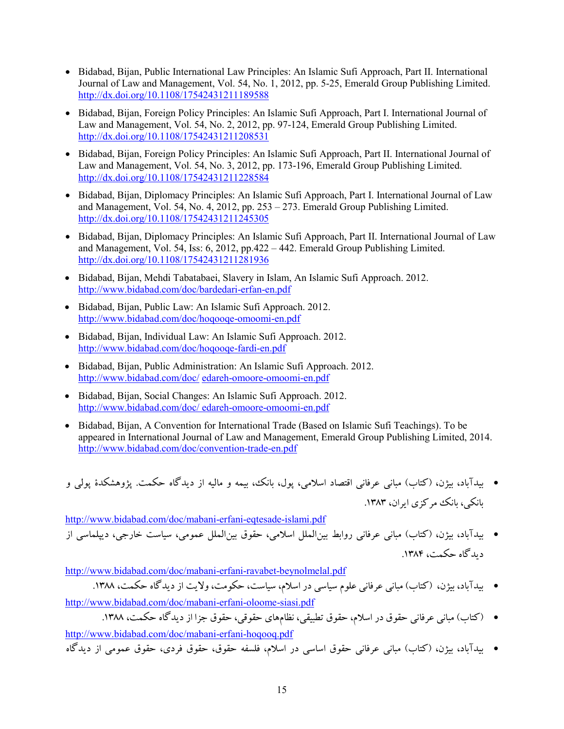- Bidabad, Bijan, Public International Law Principles: An Islamic Sufi Approach, Part II. International Journal of Law and Management, Vol. 54, No. 1, 2012, pp. 5-25, Emerald Group Publishing Limited. <http://dx.doi.org/10.1108/17542431211189588>
- Bidabad, Bijan, Foreign Policy Principles: An Islamic Sufi Approach, Part I. International Journal of Law and Management, Vol. 54, No. 2, 2012, pp. 97-124, Emerald Group Publishing Limited. <http://dx.doi.org/10.1108/17542431211208531>
- Bidabad, Bijan, Foreign Policy Principles: An Islamic Sufi Approach, Part II. International Journal of Law and Management, Vol. 54, No. 3, 2012, pp. 173-196, Emerald Group Publishing Limited. <http://dx.doi.org/10.1108/17542431211228584>
- Bidabad, Bijan, Diplomacy Principles: An Islamic Sufi Approach, Part I. International Journal of Law and Management, Vol. 54, No. 4, 2012, pp. 253 – 273. Emerald Group Publishing Limited. <http://dx.doi.org/10.1108/17542431211245305>
- Bidabad, Bijan, Diplomacy Principles: An Islamic Sufi Approach, Part II. International Journal of Law and Management, Vol. 54, Iss: 6, 2012, pp.422 – 442. Emerald Group Publishing Limited. <http://dx.doi.org/10.1108/17542431211281936>
- Bidabad, Bijan, Mehdi Tabatabaei, Slavery in Islam, An Islamic Sufi Approach. 2012. <http://www.bidabad.com/doc/bardedari-erfan-en.pdf>
- Bidabad, Bijan, Public Law: An Islamic Sufi Approach. 2012. <http://www.bidabad.com/doc/hoqooqe-omoomi-en.pdf>
- Bidabad, Bijan, Individual Law: An Islamic Sufi Approach. 2012. <http://www.bidabad.com/doc/hoqooqe-fardi-en.pdf>
- Bidabad, Bijan, Public Administration: An Islamic Sufi Approach. 2012. http://www.bidabad.com/doc/ [edareh-omoore-omoomi-en.pdf](http://www.bidabad.com/doc/edareh-omoore-omoomi-en.pdf)
- Bidabad, Bijan, Social Changes: An Islamic Sufi Approach. 2012. http://www.bidabad.com/doc/ [edareh-omoore-omoomi-en.pdf](http://www.bidabad.com/doc/%20edareh-omoore-omoomi-en.pdf)
- Bidabad, Bijan, A Convention for International Trade (Based on Islamic Sufi Teachings). To be appeared in International Journal of Law and Management, Emerald Group Publishing Limited, 2014. <http://www.bidabad.com/doc/convention-trade-en.pdf>

• بیدآباد، بیژن، (کتاب) مبانی عرفانی اقتصاد اسلامی، پول، بانک، بیمه و مالیه از دیدگاه حکمت. پژوهشکدة پولی و بانکی، بانک مرکزي ایران، .1383

<http://www.bidabad.com/doc/mabani-erfani-eqtesade-islami.pdf> • بیدآباد، بیژن، (کتاب) مبانی عرفانی روابط بینالملل اسلامی، حقوق بینالملل عمومی، سیاست خارجی، دیپلماسی از دیدگاه حکمت، ۱۳۸۴.

<http://www.bidabad.com/doc/mabani-erfani-ravabet-beynolmelal.pdf>

• بیدآباد، بیژن، (کتاب) مبانی عرفانی علوم سیاسی در اسلام، سیاست، حکومت، ولایت از دیدگاه حکمت، .1388

<http://www.bidabad.com/doc/mabani-erfani-oloome-siasi.pdf>

• (کتاب) مبانی عرفانی حقوق در اسلام، حقوق تطبیقی، نظامهاي حقوقی، حقوق جزا از دیدگاه حکمت، .1388 <http://www.bidabad.com/doc/mabani-erfani-hoqooq.pdf>

• بیدآباد، بیژن، (کتاب) مبانی عرفانی حقوق اساسی در اسلام، فلسفه حقوق، حقوق فردي، حقوق عمومی از دیدگاه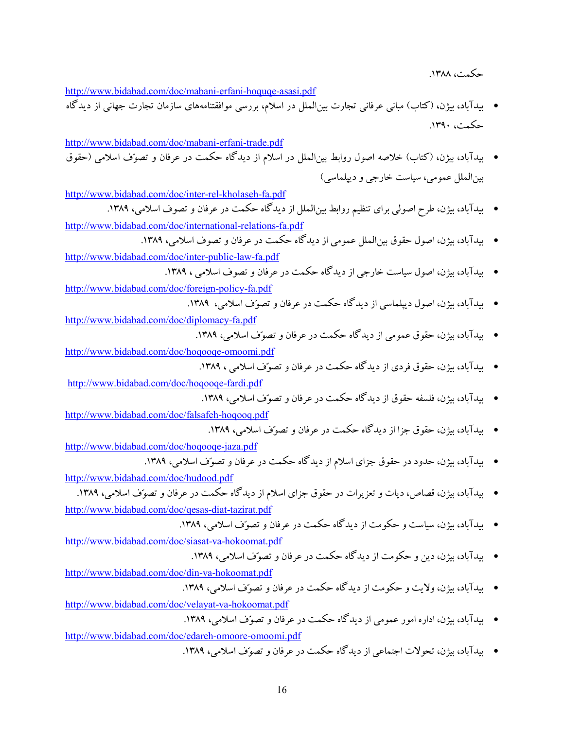حکمت، ۱۳۸۸.

<http://www.bidabad.com/doc/mabani-erfani-hoquqe-asasi.pdf>

• بیدآباد، بیژن، (کتاب) مبانی عرفانی تجارت بینالملل در اسلام، بررسی موافقتنامههاي سازمان تجارت جهانی از دیدگاه حکمت، .1390

<http://www.bidabad.com/doc/mabani-erfani-trade.pdf> • بیدآباد، بیژن، (کتاب) خلاصه اصول روابط بینالملل در اسلام از دیدگاه حکمت در عرفان و تصوف اسلامی (حقوق بینالملل عمومی، سیاست خارجی و دیپلماسی)

<http://www.bidabad.com/doc/inter-rel-kholaseh-fa.pdf>

• بیدآباد، بیژن، طرح اصولی براي تنظیم روابط بینالملل از دیدگاه حکمت در عرفان و تصوف اسلامی، .1389 <http://www.bidabad.com/doc/international-relations-fa.pdf>

• بیدآباد، بیژن، اصول حقوق بینالملل عمومی از دیدگاه حکمت در عرفان و تصوف اسلامی، .1389

<http://www.bidabad.com/doc/inter-public-law-fa.pdf>

• بیدآباد، بیژن، اصول سیاست خارجی از دیدگاه حکمت در عرفان و تصوف اسلامی ، .1389

<http://www.bidabad.com/doc/foreign-policy-fa.pdf>

• بیدآباد، بیژن، اصول دیپلماسی از دیدگاه حکمت در عرفان و تصوف اسلامی، .1389

<http://www.bidabad.com/doc/diplomacy-fa.pdf>

• بیدآباد، بیژن، حقوق عمومی از دیدگاه حکمت در عرفان و تصوف اسلامی، .1389

<http://www.bidabad.com/doc/hoqooqe-omoomi.pdf>

• بیدآباد، بیژن، حقوق فردي از دیدگاه حکمت در عرفان و تصوف اسلامی ، .1389

<http://www.bidabad.com/doc/hoqooqe-fardi.pdf>

• بیدآباد، بیژن، فلسفه حقوق از دیدگاه حکمت در عرفان و تصوف اسلامی، .1389

<http://www.bidabad.com/doc/falsafeh-hoqooq.pdf>

• بیدآباد، بیژن، حقوق جزا از دیدگاه حکمت در عرفان و تصوف اسلامی، .1389

<http://www.bidabad.com/doc/hoqooqe-jaza.pdf>

• بیدآباد، بیژن، حدود در حقوق جزاي اسلام از دیدگاه حکمت در عرفان و تصوف اسلامی، .1389

<http://www.bidabad.com/doc/hudood.pdf>

• بیدآباد، بیژن، قصاص، دیات و تعزیرات در حقوق جزاي اسلام از دیدگاه حکمت در عرفان و تصوف اسلامی، .1389

<http://www.bidabad.com/doc/qesas-diat-tazirat.pdf>

• بیدآباد، بیژن، سیاست و حکومت از دیدگاه حکمت در عرفان و تصوف اسلامی، .1389

<http://www.bidabad.com/doc/siasat-va-hokoomat.pdf> • بیدآباد، بیژن، دین و حکومت از دیدگاه حکمت در عرفان و تصوف اسلامی، .1389

<http://www.bidabad.com/doc/din-va-hokoomat.pdf>

• بیدآباد، بیژن، ولایت و حکومت از دیدگاه حکمت در عرفان و تصوف اسلامی، .1389

<http://www.bidabad.com/doc/velayat-va-hokoomat.pdf>

• بیدآباد، بیژن، اداره امور عمومی از دیدگاه حکمت در عرفان و تصوف اسلامی، .1389

<http://www.bidabad.com/doc/edareh-omoore-omoomi.pdf>

• بیدآباد، بیژن، تحولات اجتماعی از دیدگاه حکمت در عرفان و تصوف اسلامی، .1389